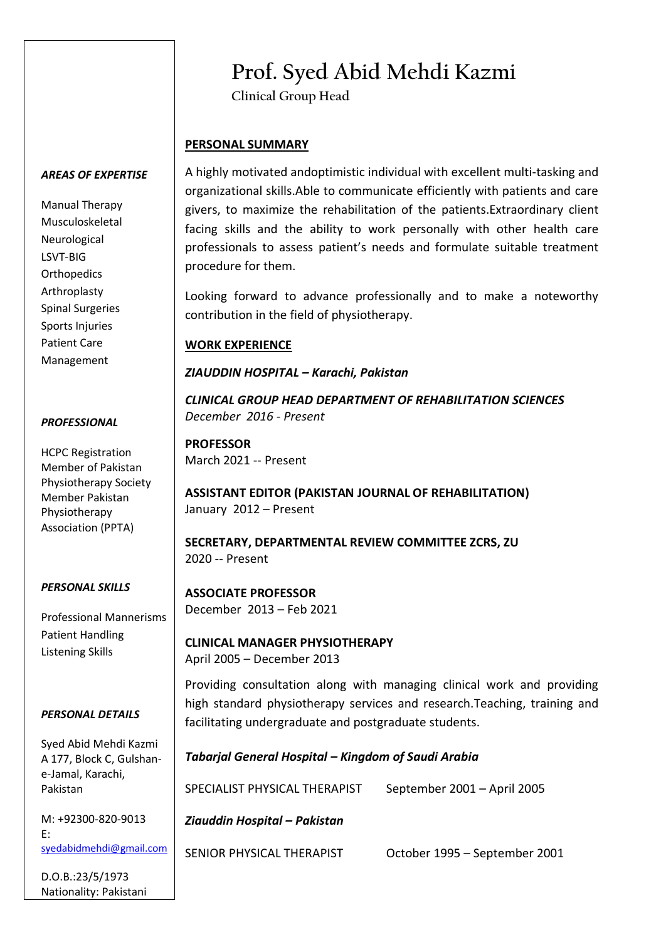# **Prof. Syed Abid Mehdi Kazmi**

**Clinical Group Head**

# **PERSONAL SUMMARY**

A highly motivated andoptimistic individual with excellent multi-tasking and organizational skills.Able to communicate efficiently with patients and care givers, to maximize the rehabilitation of the patients.Extraordinary client facing skills and the ability to work personally with other health care professionals to assess patient's needs and formulate suitable treatment procedure for them.

Looking forward to advance professionally and to make a noteworthy contribution in the field of physiotherapy.

# **WORK EXPERIENCE**

# *ZIAUDDIN HOSPITAL – Karachi, Pakistan*

*CLINICAL GROUP HEAD DEPARTMENT OF REHABILITATION SCIENCES December 2016 - Present*

**PROFESSOR** March 2021 -- Present

**ASSISTANT EDITOR (PAKISTAN JOURNAL OF REHABILITATION)** January 2012 – Present

**SECRETARY, DEPARTMENTAL REVIEW COMMITTEE ZCRS, ZU** 2020 -- Present

## *PERSONAL SKILLS*

Professional Mannerisms Patient Handling Listening Skills

## *PERSONAL DETAILS*

Syed Abid Mehdi Kazmi A 177, Block C, Gulshane-Jamal, Karachi, Pakistan

M: +92300-820-9013 E: [syedabidmehdi@gmail.com](mailto:syedabidmehdi@gmail.com)

D.O.B.:23/5/1973 Nationality: Pakistani

#### **ASSOCIATE PROFESSOR** December 2013 – Feb 2021

**CLINICAL MANAGER PHYSIOTHERAPY** April 2005 – December 2013

Providing consultation along with managing clinical work and providing high standard physiotherapy services and research.Teaching, training and facilitating undergraduate and postgraduate students.

# *Tabarjal General Hospital – Kingdom of Saudi Arabia*

SPECIALIST PHYSICAL THERAPIST September 2001 – April 2005

# *Ziauddin Hospital – Pakistan*

SENIOR PHYSICAL THERAPIST October 1995 – September 2001

# *AREAS OF EXPERTISE*

Manual Therapy Musculoskeletal Neurological LSVT-BIG **Orthopedics** Arthroplasty Spinal Surgeries Sports Injuries Patient Care Management

#### *PROFESSIONAL*

HCPC Registration Member of Pakistan Physiotherapy Society Member Pakistan Physiotherapy Association (PPTA)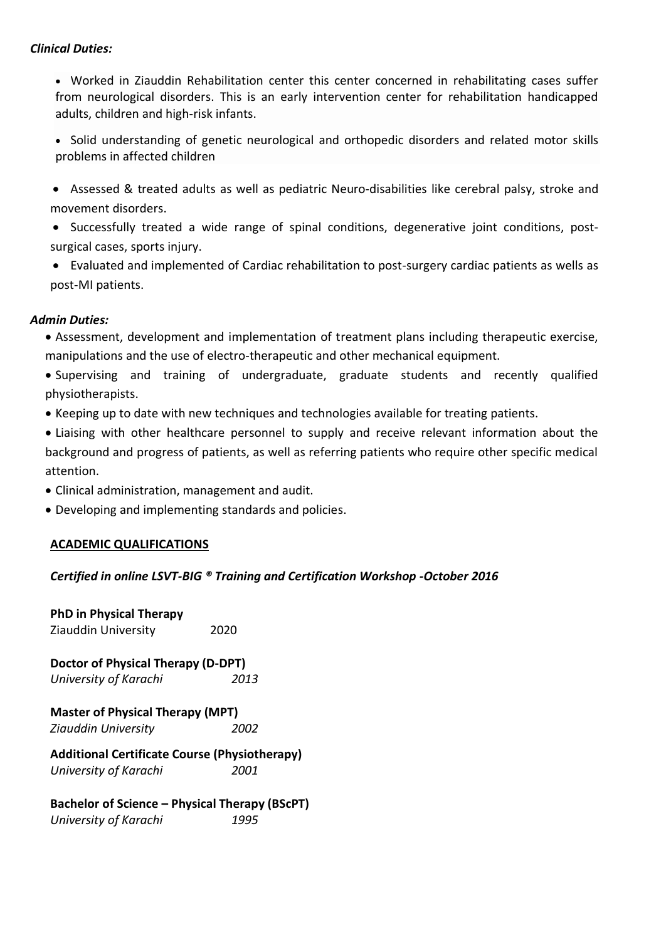## *Clinical Duties:*

• Worked in Ziauddin Rehabilitation center this center concerned in rehabilitating cases suffer from neurological disorders. This is an early intervention center for rehabilitation handicapped adults, children and high-risk infants.

• Solid understanding of genetic neurological and orthopedic disorders and related motor skills problems in affected children

- Assessed & treated adults as well as pediatric Neuro-disabilities like cerebral palsy, stroke and movement disorders.
- Successfully treated a wide range of spinal conditions, degenerative joint conditions, postsurgical cases, sports injury.
- Evaluated and implemented of Cardiac rehabilitation to post-surgery cardiac patients as wells as post-MI patients.

# *Admin Duties:*

- Assessment, development and implementation of treatment plans including therapeutic exercise, manipulations and the use of electro-therapeutic and other mechanical equipment.
- Supervising and training of undergraduate, graduate students and recently qualified physiotherapists.
- Keeping up to date with new techniques and technologies available for treating patients.
- Liaising with other healthcare personnel to supply and receive relevant information about the background and progress of patients, as well as referring patients who require other specific medical attention.
- Clinical administration, management and audit.
- Developing and implementing standards and policies.

## **ACADEMIC QUALIFICATIONS**

## *Certified in online LSVT-BIG ® Training and Certification Workshop -October 2016*

| <b>PhD in Physical Therapy</b><br>Ziauddin University | 2020 |
|-------------------------------------------------------|------|
| <b>Doctor of Physical Therapy (D-DPT)</b>             |      |
| University of Karachi                                 | 2013 |
| <b>Master of Physical Therapy (MPT)</b>               |      |
| Ziauddin University                                   | 2002 |
| <b>Additional Certificate Course (Physiotherapy)</b>  |      |
| University of Karachi                                 | 2001 |
| <b>Bachelor of Science - Physical Therapy (BScPT)</b> |      |
| University of Karachi                                 | 1995 |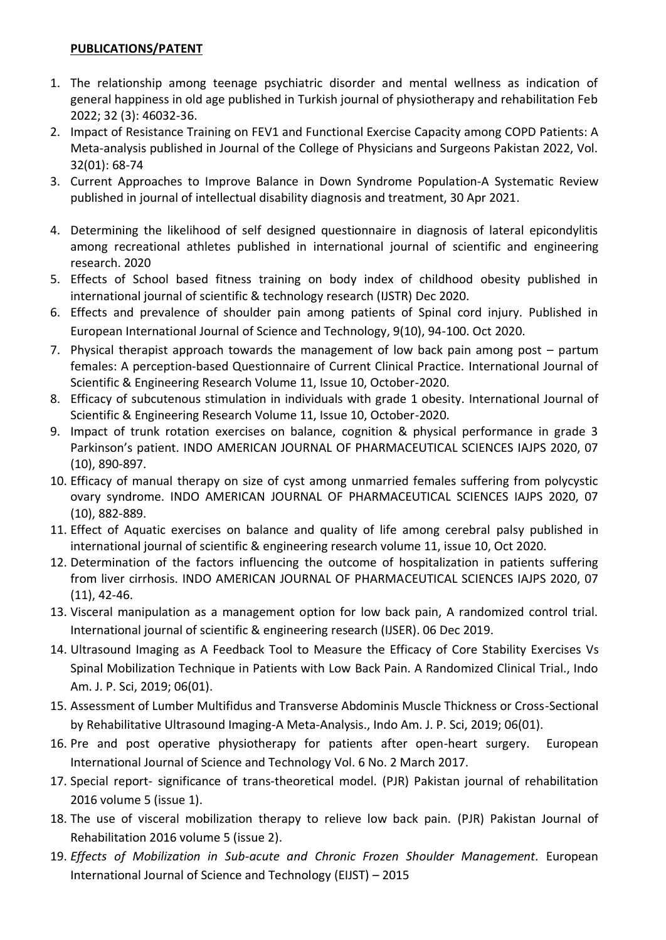# **PUBLICATIONS/PATENT**

- 1. The relationship among teenage psychiatric disorder and mental wellness as indication of general happiness in old age published in Turkish journal of physiotherapy and rehabilitation Feb 2022; 32 (3): 46032-36.
- 2. Impact of Resistance Training on FEV1 and Functional Exercise Capacity among COPD Patients: A Meta-analysis published in Journal of the College of Physicians and Surgeons Pakistan 2022, Vol. 32(01): 68-74
- 3. Current Approaches to Improve Balance in Down Syndrome Population-A Systematic Review published in journal of intellectual disability diagnosis and treatment, 30 Apr 2021.
- 4. Determining the likelihood of self designed questionnaire in diagnosis of lateral epicondylitis among recreational athletes published in international journal of scientific and engineering research. 2020
- 5. Effects of School based fitness training on body index of childhood obesity published in international journal of scientific & technology research (IJSTR) Dec 2020.
- 6. Effects and prevalence of shoulder pain among patients of Spinal cord injury. Published in European International Journal of Science and Technology, 9(10), 94-100. Oct 2020.
- 7. Physical therapist approach towards the management of low back pain among post partum females: A perception-based Questionnaire of Current Clinical Practice. International Journal of Scientific & Engineering Research Volume 11, Issue 10, October-2020.
- 8. Efficacy of subcutenous stimulation in individuals with grade 1 obesity. International Journal of Scientific & Engineering Research Volume 11, Issue 10, October-2020.
- 9. Impact of trunk rotation exercises on balance, cognition & physical performance in grade 3 Parkinson's patient. INDO AMERICAN JOURNAL OF PHARMACEUTICAL SCIENCES IAJPS 2020, 07 (10), 890-897.
- 10. Efficacy of manual therapy on size of cyst among unmarried females suffering from polycystic ovary syndrome. INDO AMERICAN JOURNAL OF PHARMACEUTICAL SCIENCES IAJPS 2020, 07 (10), 882-889.
- 11. Effect of Aquatic exercises on balance and quality of life among cerebral palsy published in international journal of scientific & engineering research volume 11, issue 10, Oct 2020.
- 12. Determination of the factors influencing the outcome of hospitalization in patients suffering from liver cirrhosis. INDO AMERICAN JOURNAL OF PHARMACEUTICAL SCIENCES IAJPS 2020, 07 (11), 42-46.
- 13. Visceral manipulation as a management option for low back pain, A randomized control trial. International journal of scientific & engineering research (IJSER). 06 Dec 2019.
- 14. Ultrasound Imaging as A Feedback Tool to Measure the Efficacy of Core Stability Exercises Vs Spinal Mobilization Technique in Patients with Low Back Pain. A Randomized Clinical Trial., Indo Am. J. P. Sci, 2019; 06(01).
- 15. Assessment of Lumber Multifidus and Transverse Abdominis Muscle Thickness or Cross-Sectional by Rehabilitative Ultrasound Imaging-A Meta-Analysis., Indo Am. J. P. Sci, 2019; 06(01).
- 16. Pre and post operative physiotherapy for patients after open-heart surgery. European International Journal of Science and Technology Vol. 6 No. 2 March 2017.
- 17. Special report- significance of trans-theoretical model. (PJR) Pakistan journal of rehabilitation 2016 volume 5 (issue 1).
- 18. The use of visceral mobilization therapy to relieve low back pain. (PJR) Pakistan Journal of Rehabilitation 2016 volume 5 (issue 2).
- 19. *Effects of Mobilization in Sub-acute and Chronic Frozen Shoulder Management.* European International Journal of Science and Technology (EIJST) – 2015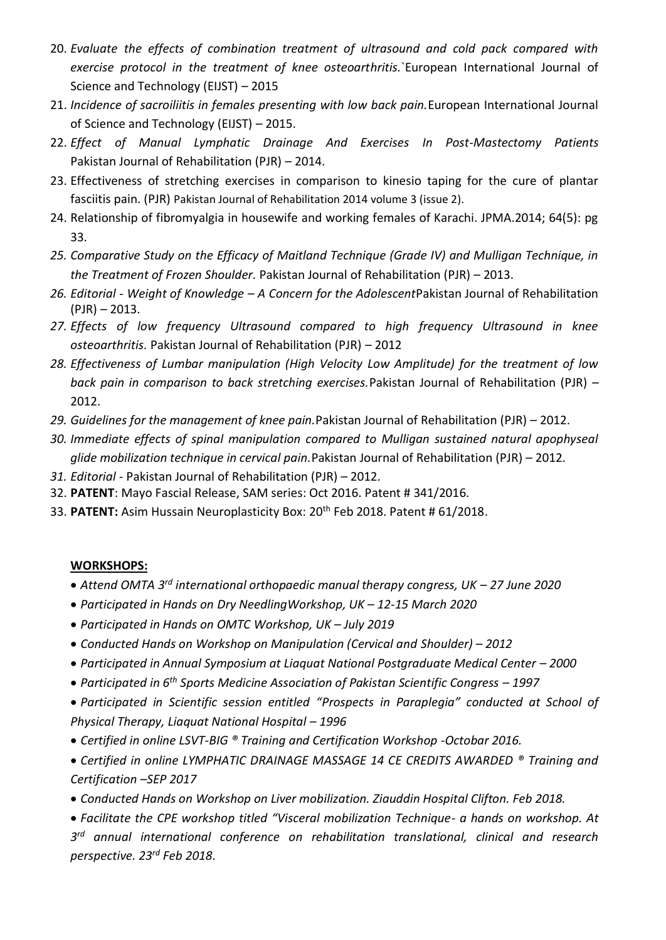- 20. *Evaluate the effects of combination treatment of ultrasound and cold pack compared with exercise protocol in the treatment of knee osteoarthritis.*`European International Journal of Science and Technology (EIJST) – 2015
- 21. *Incidence of sacroiliitis in females presenting with low back pain.*European International Journal of Science and Technology (EIJST) – 2015.
- 22. *Effect of Manual Lymphatic Drainage And Exercises In Post-Mastectomy Patients* Pakistan Journal of Rehabilitation (PJR) – 2014.
- 23. Effectiveness of stretching exercises in comparison to kinesio taping for the cure of plantar fasciitis pain. (PJR) Pakistan Journal of Rehabilitation 2014 volume 3 (issue 2).
- 24. Relationship of fibromyalgia in housewife and working females of Karachi. JPMA.2014; 64(5): pg 33.
- *25. Comparative Study on the Efficacy of Maitland Technique (Grade IV) and Mulligan Technique, in the Treatment of Frozen Shoulder.* Pakistan Journal of Rehabilitation (PJR) – 2013.
- *26. Editorial - Weight of Knowledge – A Concern for the Adolescent*Pakistan Journal of Rehabilitation  $(PJR) - 2013.$
- *27. Effects of low frequency Ultrasound compared to high frequency Ultrasound in knee osteoarthritis.* Pakistan Journal of Rehabilitation (PJR) – 2012
- *28. Effectiveness of Lumbar manipulation (High Velocity Low Amplitude) for the treatment of low back pain in comparison to back stretching exercises.*Pakistan Journal of Rehabilitation (PJR) – 2012.
- *29. Guidelines for the management of knee pain.*Pakistan Journal of Rehabilitation (PJR) 2012.
- *30. Immediate effects of spinal manipulation compared to Mulligan sustained natural apophyseal glide mobilization technique in cervical pain.*Pakistan Journal of Rehabilitation (PJR) – 2012.
- *31. Editorial -* Pakistan Journal of Rehabilitation (PJR) 2012.
- 32. **PATENT**: Mayo Fascial Release, SAM series: Oct 2016. Patent # 341/2016.
- 33. **PATENT:** Asim Hussain Neuroplasticity Box: 20th Feb 2018. Patent # 61/2018.

# **WORKSHOPS:**

- *Attend OMTA 3rd international orthopaedic manual therapy congress, UK – 27 June 2020*
- *Participated in Hands on Dry NeedlingWorkshop, UK – 12-15 March 2020*
- *Participated in Hands on OMTC Workshop, UK – July 2019*
- *Conducted Hands on Workshop on Manipulation (Cervical and Shoulder) 2012*
- *Participated in Annual Symposium at Liaquat National Postgraduate Medical Center 2000*
- *Participated in 6th Sports Medicine Association of Pakistan Scientific Congress – 1997*
- *Participated in Scientific session entitled "Prospects in Paraplegia" conducted at School of Physical Therapy, Liaquat National Hospital – 1996*
- *Certified in online LSVT-BIG ® Training and Certification Workshop -Octobar 2016.*
- *Certified in online LYMPHATIC DRAINAGE MASSAGE 14 CE CREDITS AWARDED ® Training and Certification –SEP 2017*
- *Conducted Hands on Workshop on Liver mobilization. Ziauddin Hospital Clifton. Feb 2018.*
- *Facilitate the CPE workshop titled "Visceral mobilization Technique- a hands on workshop. At*

*3 rd annual international conference on rehabilitation translational, clinical and research perspective. 23rd Feb 2018.*